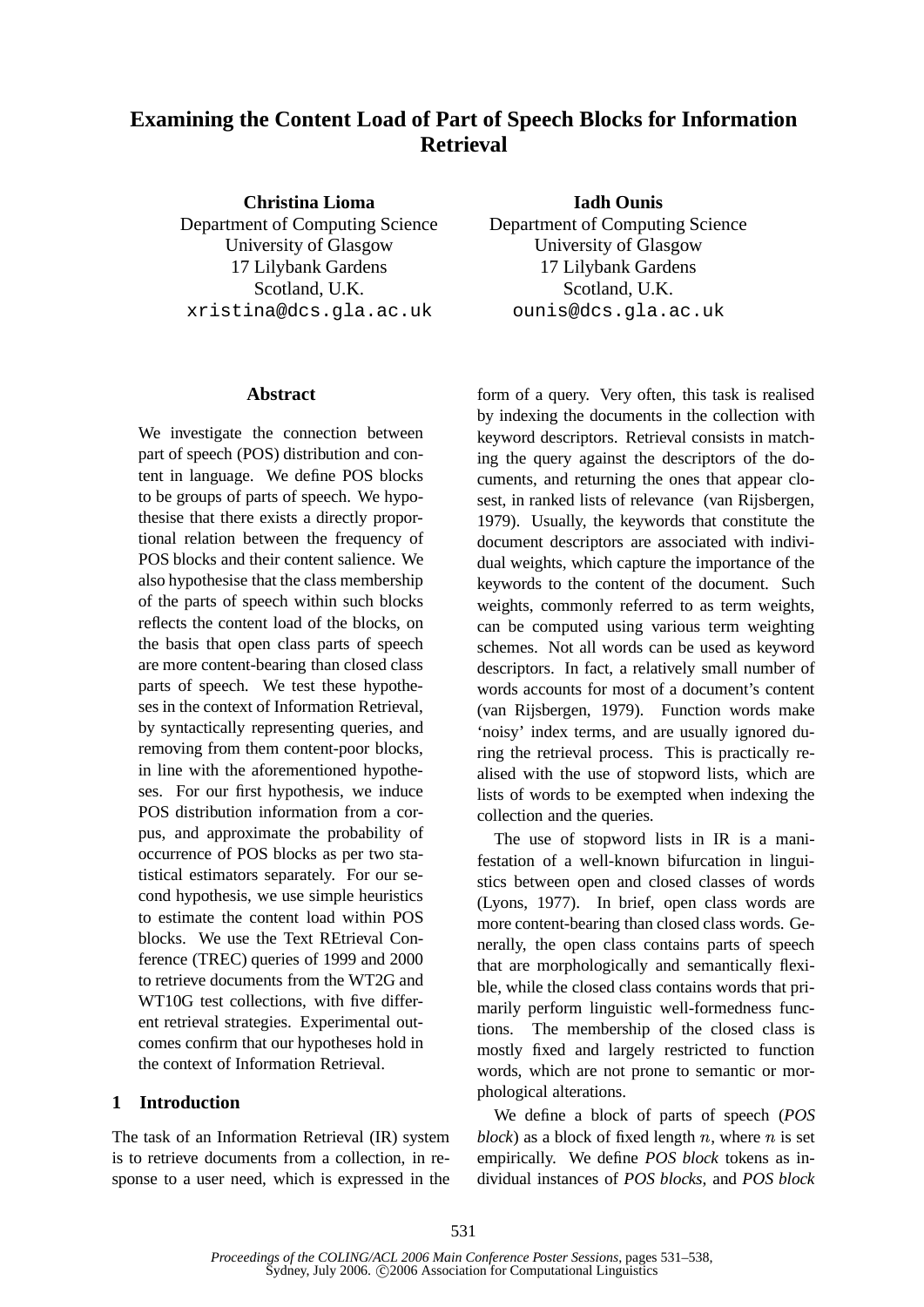# **Examining the Content Load of Part of Speech Blocks for Information Retrieval**

**Christina Lioma** Department of Computing Science University of Glasgow 17 Lilybank Gardens Scotland, U.K. xristina@dcs.gla.ac.uk

#### **Abstract**

We investigate the connection between part of speech (POS) distribution and content in language. We define POS blocks to be groups of parts of speech. We hypothesise that there exists a directly proportional relation between the frequency of POS blocks and their content salience. We also hypothesise that the class membership of the parts of speech within such blocks reflects the content load of the blocks, on the basis that open class parts of speech are more content-bearing than closed class parts of speech. We test these hypotheses in the context of Information Retrieval, by syntactically representing queries, and removing from them content-poor blocks, in line with the aforementioned hypotheses. For our first hypothesis, we induce POS distribution information from a corpus, and approximate the probability of occurrence of POS blocks as per two statistical estimators separately. For our second hypothesis, we use simple heuristics to estimate the content load within POS blocks. We use the Text REtrieval Conference (TREC) queries of 1999 and 2000 to retrieve documents from the WT2G and WT10G test collections, with five different retrieval strategies. Experimental outcomes confirm that our hypotheses hold in the context of Information Retrieval.

### **1 Introduction**

The task of an Information Retrieval (IR) system is to retrieve documents from a collection, in response to a user need, which is expressed in the

**Iadh Ounis** Department of Computing Science University of Glasgow 17 Lilybank Gardens Scotland, U.K. ounis@dcs.gla.ac.uk

form of a query. Very often, this task is realised by indexing the documents in the collection with keyword descriptors. Retrieval consists in matching the query against the descriptors of the documents, and returning the ones that appear closest, in ranked lists of relevance (van Rijsbergen, 1979). Usually, the keywords that constitute the document descriptors are associated with individual weights, which capture the importance of the keywords to the content of the document. Such weights, commonly referred to as term weights, can be computed using various term weighting schemes. Not all words can be used as keyword descriptors. In fact, a relatively small number of words accounts for most of a document's content (van Rijsbergen, 1979). Function words make 'noisy' index terms, and are usually ignored during the retrieval process. This is practically realised with the use of stopword lists, which are lists of words to be exempted when indexing the collection and the queries.

The use of stopword lists in IR is a manifestation of a well-known bifurcation in linguistics between open and closed classes of words (Lyons, 1977). In brief, open class words are more content-bearing than closed class words. Generally, the open class contains parts of speech that are morphologically and semantically flexible, while the closed class contains words that primarily perform linguistic well-formedness functions. The membership of the closed class is mostly fixed and largely restricted to function words, which are not prone to semantic or morphological alterations.

We define a block of parts of speech (*POS block*) as a block of fixed length  $n$ , where  $n$  is set empirically. We define *POS block* tokens as individual instances of *POS blocks*, and *POS block*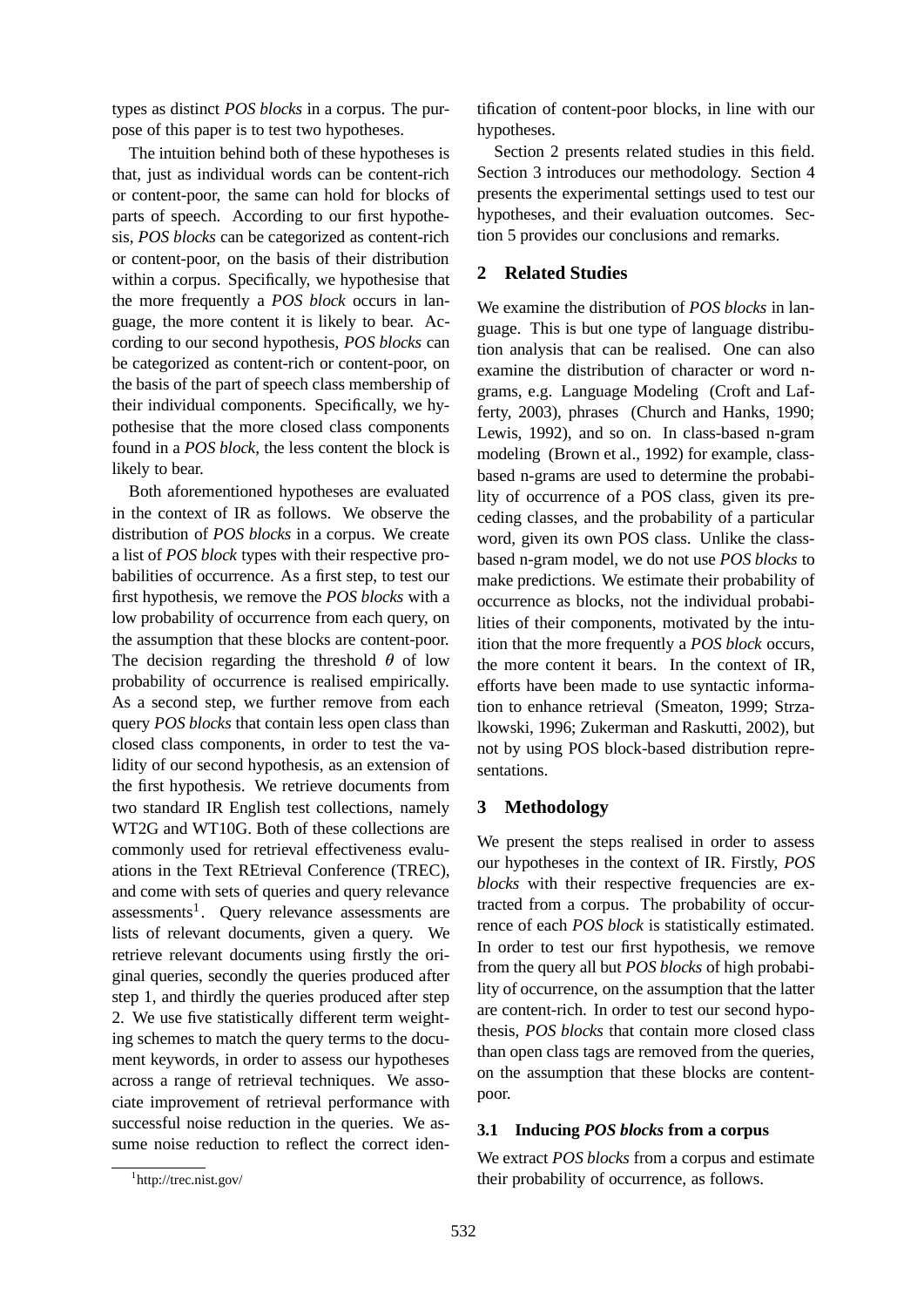types as distinct *POS blocks* in a corpus. The purpose of this paper is to test two hypotheses.

The intuition behind both of these hypotheses is that, just as individual words can be content-rich or content-poor, the same can hold for blocks of parts of speech. According to our first hypothesis, *POS blocks* can be categorized as content-rich or content-poor, on the basis of their distribution within a corpus. Specifically, we hypothesise that the more frequently a *POS block* occurs in language, the more content it is likely to bear. According to our second hypothesis, *POS blocks* can be categorized as content-rich or content-poor, on the basis of the part of speech class membership of their individual components. Specifically, we hypothesise that the more closed class components found in a *POS block*, the less content the block is likely to bear.

Both aforementioned hypotheses are evaluated in the context of IR as follows. We observe the distribution of *POS blocks* in a corpus. We create a list of *POS block* types with their respective probabilities of occurrence. As a first step, to test our first hypothesis, we remove the *POS blocks* with a low probability of occurrence from each query, on the assumption that these blocks are content-poor. The decision regarding the threshold  $\theta$  of low probability of occurrence is realised empirically. As a second step, we further remove from each query *POS blocks* that contain less open class than closed class components, in order to test the validity of our second hypothesis, as an extension of the first hypothesis. We retrieve documents from two standard IR English test collections, namely WT2G and WT10G. Both of these collections are commonly used for retrieval effectiveness evaluations in the Text REtrieval Conference (TREC), and come with sets of queries and query relevance assessments<sup>1</sup>. Query relevance assessments are lists of relevant documents, given a query. We retrieve relevant documents using firstly the original queries, secondly the queries produced after step 1, and thirdly the queries produced after step 2. We use five statistically different term weighting schemes to match the query terms to the document keywords, in order to assess our hypotheses across a range of retrieval techniques. We associate improvement of retrieval performance with successful noise reduction in the queries. We assume noise reduction to reflect the correct identification of content-poor blocks, in line with our hypotheses.

Section 2 presents related studies in this field. Section 3 introduces our methodology. Section 4 presents the experimental settings used to test our hypotheses, and their evaluation outcomes. Section 5 provides our conclusions and remarks.

#### **2 Related Studies**

We examine the distribution of *POS blocks* in language. This is but one type of language distribution analysis that can be realised. One can also examine the distribution of character or word ngrams, e.g. Language Modeling (Croft and Lafferty, 2003), phrases (Church and Hanks, 1990; Lewis, 1992), and so on. In class-based n-gram modeling (Brown et al., 1992) for example, classbased n-grams are used to determine the probability of occurrence of a POS class, given its preceding classes, and the probability of a particular word, given its own POS class. Unlike the classbased n-gram model, we do not use *POS blocks* to make predictions. We estimate their probability of occurrence as blocks, not the individual probabilities of their components, motivated by the intuition that the more frequently a *POS block* occurs, the more content it bears. In the context of IR, efforts have been made to use syntactic information to enhance retrieval (Smeaton, 1999; Strzalkowski, 1996; Zukerman and Raskutti, 2002), but not by using POS block-based distribution representations.

#### **3 Methodology**

We present the steps realised in order to assess our hypotheses in the context of IR. Firstly, *POS blocks* with their respective frequencies are extracted from a corpus. The probability of occurrence of each *POS block* is statistically estimated. In order to test our first hypothesis, we remove from the query all but *POS blocks* of high probability of occurrence, on the assumption that the latter are content-rich. In order to test our second hypothesis, *POS blocks* that contain more closed class than open class tags are removed from the queries, on the assumption that these blocks are contentpoor.

#### **3.1 Inducing** *POS blocks* **from a corpus**

We extract *POS blocks* from a corpus and estimate their probability of occurrence, as follows.

<sup>1</sup> http://trec.nist.gov/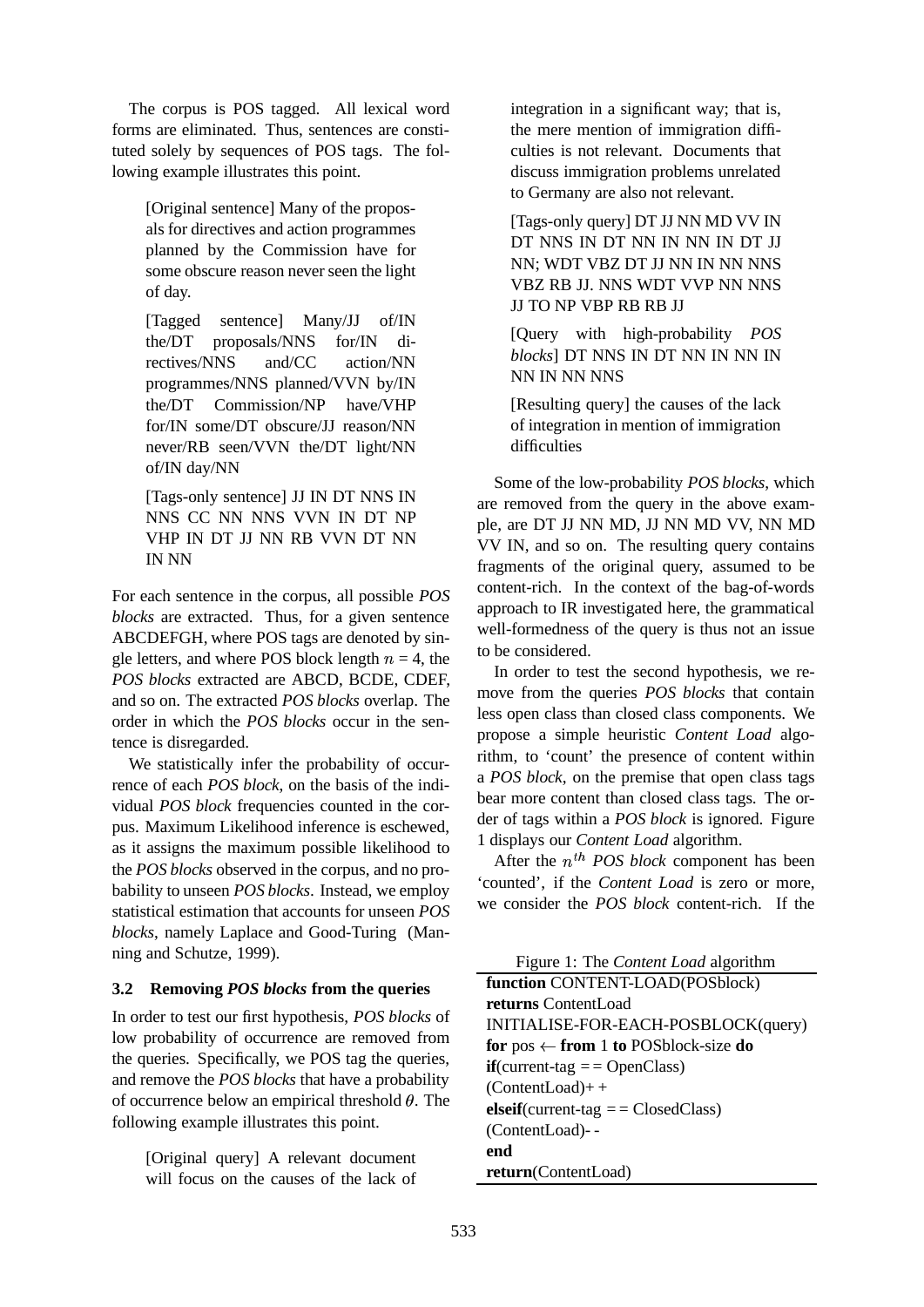The corpus is POS tagged. All lexical word forms are eliminated. Thus, sentences are constituted solely by sequences of POS tags. The following example illustrates this point.

[Original sentence] Many of the proposals for directives and action programmes planned by the Commission have for some obscure reason never seen the light of day.

[Tagged sentence] Many/JJ of/IN the/DT proposals/NNS for/IN directives/NNS and/CC action/NN programmes/NNS planned/VVN by/IN the/DT Commission/NP have/VHP for/IN some/DT obscure/JJ reason/NN never/RB seen/VVN the/DT light/NN of/IN day/NN

[Tags-only sentence] JJ IN DT NNS IN NNS CC NN NNS VVN IN DT NP VHP IN DT JJ NN RB VVN DT NN IN NN

For each sentence in the corpus, all possible *POS blocks* are extracted. Thus, for a given sentence ABCDEFGH, where POS tags are denoted by single letters, and where POS block length  $n = 4$ , the *POS blocks* extracted are ABCD, BCDE, CDEF, and so on. The extracted *POS blocks* overlap. The order in which the *POS blocks* occur in the sentence is disregarded.

We statistically infer the probability of occurrence of each *POS block*, on the basis of the individual *POS block* frequencies counted in the corpus. Maximum Likelihood inference is eschewed, as it assigns the maximum possible likelihood to the *POS blocks* observed in the corpus, and no probability to unseen *POS blocks*. Instead, we employ statistical estimation that accounts for unseen *POS blocks*, namely Laplace and Good-Turing (Manning and Schutze, 1999).

### **3.2 Removing** *POS blocks* **from the queries**

In order to test our first hypothesis, *POS blocks* of low probability of occurrence are removed from the queries. Specifically, we POS tag the queries, and remove the *POS blocks* that have a probability of occurrence below an empirical threshold  $\theta$ . The following example illustrates this point.

[Original query] A relevant document will focus on the causes of the lack of

integration in a significant way; that is, the mere mention of immigration difficulties is not relevant. Documents that discuss immigration problems unrelated to Germany are also not relevant.

[Tags-only query] DT JJ NN MD VV IN DT NNS IN DT NN IN NN IN DT JJ NN; WDT VBZ DT JJ NN IN NN NNS VBZ RB JJ. NNS WDT VVP NN NNS JJ TO NP VBP RB RB JJ

[Query with high-probability *POS blocks*] DT NNS IN DT NN IN NN IN NN IN NN NNS

[Resulting query] the causes of the lack of integration in mention of immigration difficulties

Some of the low-probability *POS blocks*, which are removed from the query in the above example, are DT JJ NN MD, JJ NN MD VV, NN MD VV IN, and so on. The resulting query contains fragments of the original query, assumed to be content-rich. In the context of the bag-of-words approach to IR investigated here, the grammatical well-formedness of the query is thus not an issue to be considered.

In order to test the second hypothesis, we remove from the queries *POS blocks* that contain less open class than closed class components. We propose a simple heuristic *Content Load* algorithm, to 'count' the presence of content within a *POS block*, on the premise that open class tags bear more content than closed class tags. The order of tags within a *POS block* is ignored. Figure 1 displays our *Content Load* algorithm.

After the  $n^{th}$  *POS block* component has been 'counted', if the *Content Load* is zero or more, we consider the *POS block* content-rich. If the

| Figure 1: The <i>Content Load</i> algorithm     |
|-------------------------------------------------|
| function CONTENT-LOAD(POSblock)                 |
| returns ContentLoad                             |
| INITIALISE-FOR-EACH-POSBLOCK(query)             |
| for $pos \leftarrow$ from 1 to POSblock-size do |
| $if$ (current-tag = = OpenClass)                |
| $(ContentLoad)++$                               |
| elseif(current-tag $=$ $\equiv$ ClosedClass)    |
| (ContentLoad)--                                 |
| end                                             |
| return(ContentLoad)                             |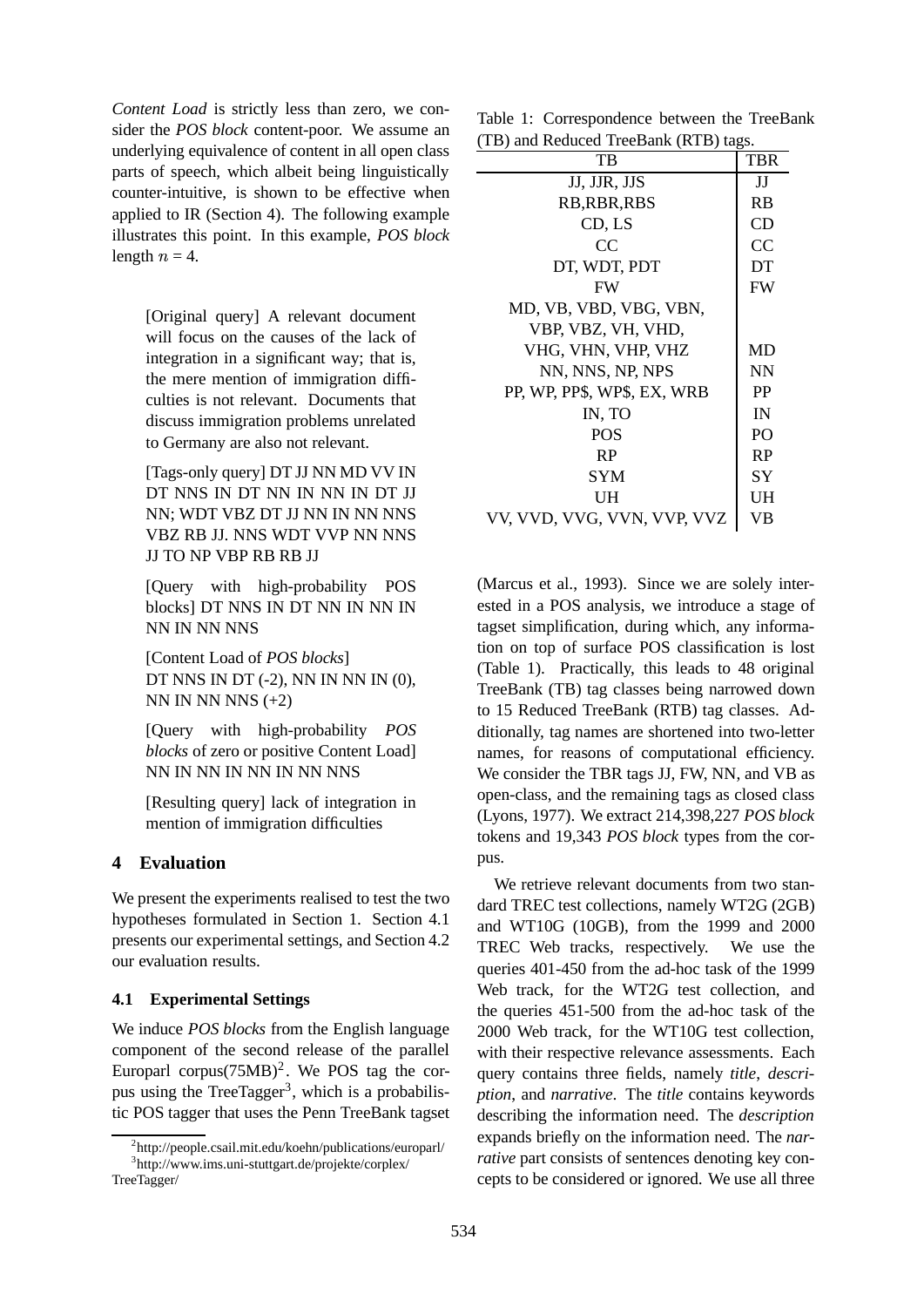*Content Load* is strictly less than zero, we consider the *POS block* content-poor. We assume an underlying equivalence of content in all open class parts of speech, which albeit being linguistically counter-intuitive, is shown to be effective when applied to IR (Section 4). The following example illustrates this point. In this example, *POS block* length  $n = 4$ .

[Original query] A relevant document will focus on the causes of the lack of integration in a significant way; that is, the mere mention of immigration difficulties is not relevant. Documents that discuss immigration problems unrelated to Germany are also not relevant.

[Tags-only query] DT JJ NN MD VV IN DT NNS IN DT NN IN NN IN DT JJ NN; WDT VBZ DT JJ NN IN NN NNS VBZ RB JJ. NNS WDT VVP NN NNS JJ TO NP VBP RB RB JJ

[Query with high-probability POS blocks] DT NNS IN DT NN IN NN IN NN IN NN NNS

[Content Load of *POS blocks*] DT NNS IN DT (-2), NN IN NN IN (0), NN IN NN NNS  $(+2)$ 

[Query with high-probability *POS blocks* of zero or positive Content Load] NN IN NN IN NN IN NN NNS

[Resulting query] lack of integration in mention of immigration difficulties

### **4 Evaluation**

We present the experiments realised to test the two hypotheses formulated in Section 1. Section 4.1 presents our experimental settings, and Section 4.2 our evaluation results.

### **4.1 Experimental Settings**

We induce *POS blocks* from the English language component of the second release of the parallel Europarl corpus $(75MB)^2$ . We POS tag the corpus using the TreeTagger<sup>3</sup>, which is a probabilistic POS tagger that uses the Penn TreeBank tagset

Table 1: Correspondence between the TreeBank (TB) and Reduced TreeBank (RTB) tags.

| TВ                          | <b>TBR</b>     |
|-----------------------------|----------------|
| JJ, JJR, JJS                | IJ             |
| RB, RBR, RBS                | <b>RB</b>      |
| CD, LS                      | CD             |
| CC                          | CC             |
| DT, WDT, PDT                | DT             |
| <b>FW</b>                   | <b>FW</b>      |
| MD, VB, VBD, VBG, VBN,      |                |
| VBP, VBZ, VH, VHD,          |                |
| VHG, VHN, VHP, VHZ          | MD             |
| NN, NNS, NP, NPS            | <b>NN</b>      |
| PP, WP, PP\$, WP\$, EX, WRB | <b>PP</b>      |
| IN, TO                      | IN             |
| <b>POS</b>                  | P <sub>O</sub> |
| RP                          | <b>RP</b>      |
| <b>SYM</b>                  | SY             |
| UH                          | UH             |
| VV, VVD, VVG, VVN, VVP, VVZ | VB             |

(Marcus et al., 1993). Since we are solely interested in a POS analysis, we introduce a stage of tagset simplification, during which, any information on top of surface POS classification is lost (Table 1). Practically, this leads to 48 original TreeBank (TB) tag classes being narrowed down to 15 Reduced TreeBank (RTB) tag classes. Additionally, tag names are shortened into two-letter names, for reasons of computational efficiency. We consider the TBR tags JJ, FW, NN, and VB as open-class, and the remaining tags as closed class (Lyons, 1977). We extract 214,398,227 *POS block* tokens and 19,343 *POS block* types from the corpus.

We retrieve relevant documents from two standard TREC test collections, namely WT2G (2GB) and WT10G (10GB), from the 1999 and 2000 TREC Web tracks, respectively. We use the queries 401-450 from the ad-hoc task of the 1999 Web track, for the WT2G test collection, and the queries 451-500 from the ad-hoc task of the 2000 Web track, for the WT10G test collection, with their respective relevance assessments. Each query contains three fields, namely *title*, *description*, and *narrative*. The *title* contains keywords describing the information need. The *description* expands briefly on the information need. The *narrative* part consists of sentences denoting key concepts to be considered or ignored. We use all three

<sup>2</sup> http://people.csail.mit.edu/koehn/publications/europarl/ 3 http://www.ims.uni-stuttgart.de/projekte/corplex/ TreeTagger/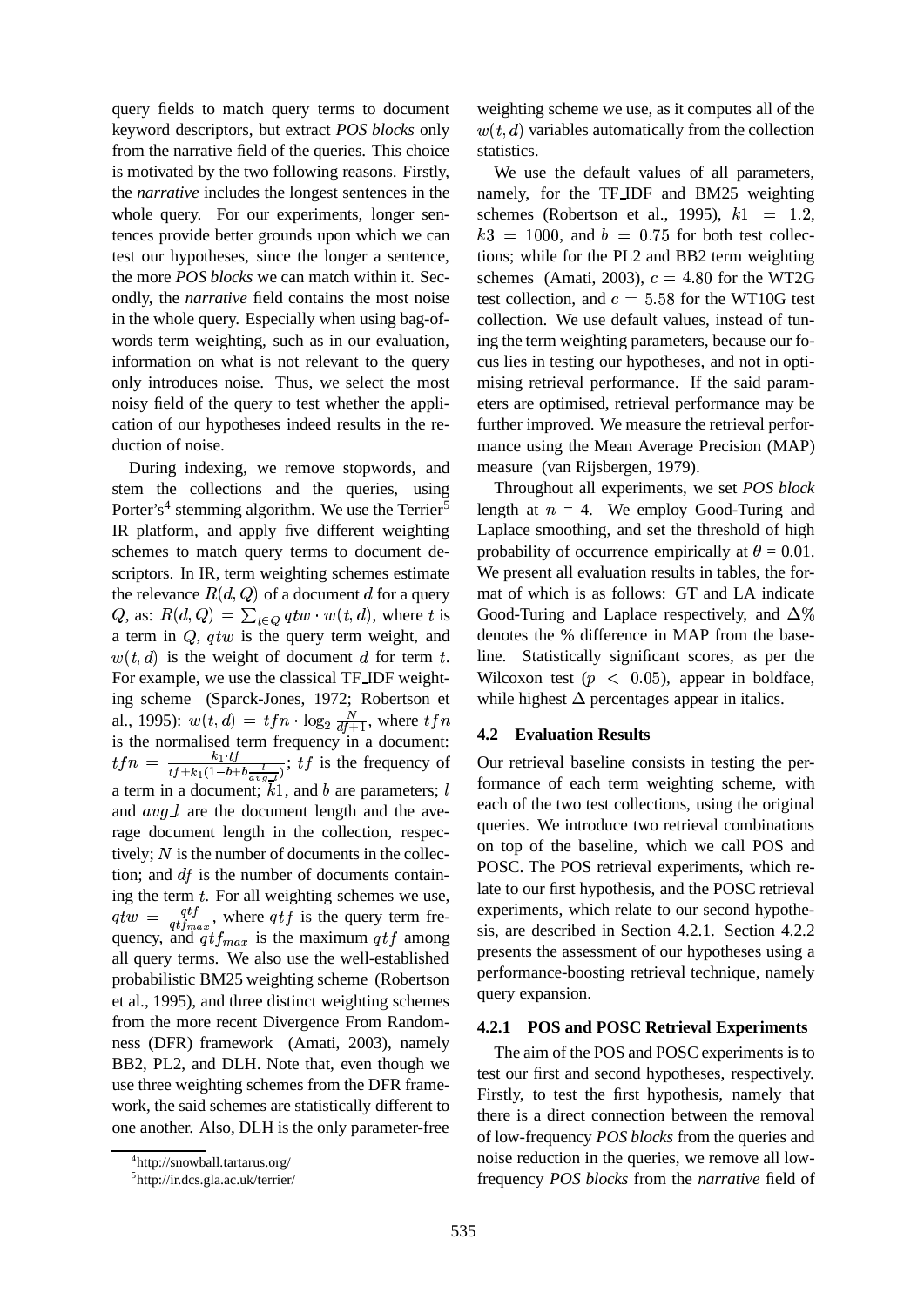query fields to match query terms to document keyword descriptors, but extract *POS blocks* only from the narrative field of the queries. This choice is motivated by the two following reasons. Firstly, the *narrative* includes the longest sentences in the whole query. For our experiments, longer sentences provide better grounds upon which we can test our hypotheses, since the longer a sentence, the more *POS blocks* we can match within it. Secondly, the *narrative* field contains the most noise in the whole query. Especially when using bag-ofwords term weighting, such as in our evaluation, information on what is not relevant to the query only introduces noise. Thus, we select the most noisy field of the query to test whether the application of our hypotheses indeed results in the reduction of noise.

During indexing, we remove stopwords, and stem the collections and the queries, using Porter's<sup>4</sup> stemming algorithm. We use the Terrier<sup>5</sup> IR platform, and apply five different weighting schemes to match query terms to document descriptors. In IR, term weighting schemes estimate the relevance  $R(d, Q)$  of a document  $d$  for a query Q, as:  $R(d, Q) = \sum_{t \in Q} q t w \cdot w(t, d)$ , where t is a term in  $Q$ ,  $q$ tw is the query term weight, and  $(t,d)$  is the weight of document d for term t. For example, we use the classical TF IDF weighting scheme (Sparck-Jones, 1972; Robertson et al., 1995):  $w(t, d) = tfn$ .  $, d) = tfn \cdot \log_2 \frac{N}{df+1}$ , where  $tfn$ is the normalised term frequency in a document:  $tfn = \frac{k_1 \cdot tf}{tf + k_1(1 - b + b \frac{l}{\alpha \cdot n})}$ ;  $tf$  is the frequency of a term in a document;  $\overline{k}$ 1, and b are parameters; l and  $avg\_l$  are the document length and the average document length in the collection, respectively;  $N$  is the number of documents in the collection; and  $df$  is the number of documents containing the term  $t$ . For all weighting schemes we use,  $\cdots$   $\cdots$  $=\frac{qtf}{at\text{f}_{\text{max}}}$ , where qtf is the query term frequency, and  $q t f_{max}$  is the maximum  $q t f$  among all query terms. We also use the well-established probabilistic BM25 weighting scheme (Robertson et al., 1995), and three distinct weighting schemes from the more recent Divergence From Randomness (DFR) framework (Amati, 2003), namely BB2, PL2, and DLH. Note that, even though we use three weighting schemes from the DFR framework, the said schemes are statistically different to one another. Also, DLH is the only parameter-free

weighting scheme we use, as it computes all of the  $(t, d)$  variables automatically from the collection statistics.

We use the default values of all parameters, namely, for the TF IDF and BM25 weighting schemes (Robertson et al., 1995),  $k1 = 1.2$ ,  $k3 = 1000$ , and  $b = 0.75$  for both test collections; while for the PL2 and BB2 term weighting schemes (Amati, 2003),  $c = 4.80$  for the WT2G test collection, and  $c = 5.58$  for the WT10G test collection. We use default values, instead of tuning the term weighting parameters, because our focus lies in testing our hypotheses, and not in optimising retrieval performance. If the said parameters are optimised, retrieval performance may be further improved. We measure the retrieval performance using the Mean Average Precision (MAP) measure (van Rijsbergen, 1979).

Throughout all experiments, we set *POS block* length at  $n = 4$ . We employ Good-Turing and Laplace smoothing, and set the threshold of high probability of occurrence empirically at  $\theta = 0.01$ . We present all evaluation results in tables, the format of which is as follows: GT and LA indicate Good-Turing and Laplace respectively, and  $\Delta\%$ denotes the % difference in MAP from the baseline. Statistically significant scores, as per the Wilcoxon test ( $p \lt 0.05$ ), appear in boldface, while highest  $\Delta$  percentages appear in italics.

#### **4.2 Evaluation Results**

Our retrieval baseline consists in testing the performance of each term weighting scheme, with each of the two test collections, using the original queries. We introduce two retrieval combinations on top of the baseline, which we call POS and POSC. The POS retrieval experiments, which relate to our first hypothesis, and the POSC retrieval experiments, which relate to our second hypothesis, are described in Section 4.2.1. Section 4.2.2 presents the assessment of our hypotheses using a performance-boosting retrieval technique, namely query expansion.

#### **4.2.1 POS and POSC Retrieval Experiments**

The aim of the POS and POSC experiments is to test our first and second hypotheses, respectively. Firstly, to test the first hypothesis, namely that there is a direct connection between the removal of low-frequency *POS blocks* from the queries and noise reduction in the queries, we remove all lowfrequency *POS blocks* from the *narrative* field of

<sup>4</sup> http://snowball.tartarus.org/

<sup>5</sup> http://ir.dcs.gla.ac.uk/terrier/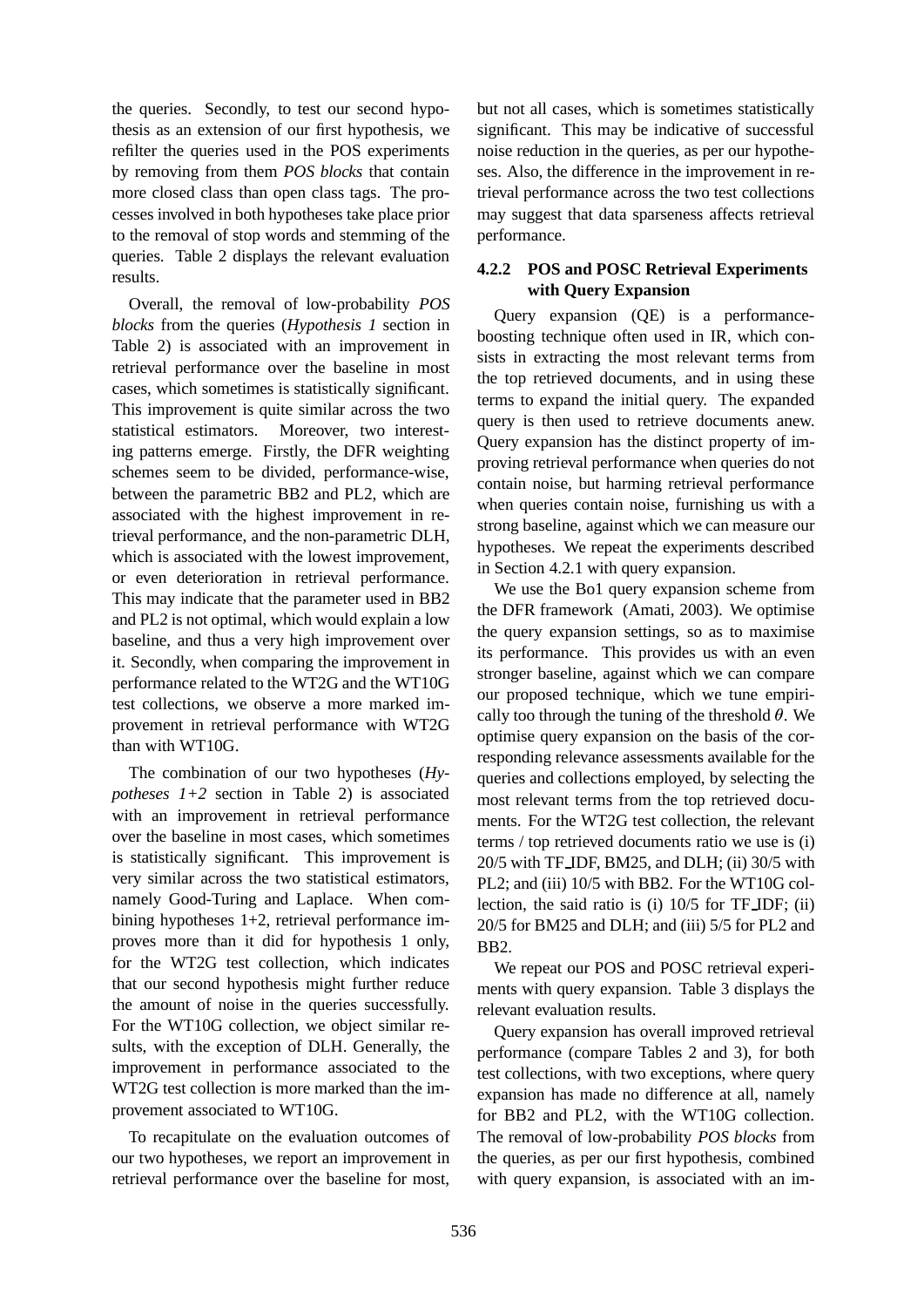the queries. Secondly, to test our second hypothesis as an extension of our first hypothesis, we refilter the queries used in the POS experiments by removing from them *POS blocks* that contain more closed class than open class tags. The processes involved in both hypotheses take place prior to the removal of stop words and stemming of the queries. Table 2 displays the relevant evaluation results.

Overall, the removal of low-probability *POS blocks* from the queries (*Hypothesis 1* section in Table 2) is associated with an improvement in retrieval performance over the baseline in most cases, which sometimes is statistically significant. This improvement is quite similar across the two statistical estimators. Moreover, two interesting patterns emerge. Firstly, the DFR weighting schemes seem to be divided, performance-wise, between the parametric BB2 and PL2, which are associated with the highest improvement in retrieval performance, and the non-parametric DLH, which is associated with the lowest improvement, or even deterioration in retrieval performance. This may indicate that the parameter used in BB2 and PL2 is not optimal, which would explain a low baseline, and thus a very high improvement over it. Secondly, when comparing the improvement in performance related to the WT2G and the WT10G test collections, we observe a more marked improvement in retrieval performance with WT2G than with WT10G.

The combination of our two hypotheses (*Hypotheses 1+2* section in Table 2) is associated with an improvement in retrieval performance over the baseline in most cases, which sometimes is statistically significant. This improvement is very similar across the two statistical estimators, namely Good-Turing and Laplace. When combining hypotheses 1+2, retrieval performance improves more than it did for hypothesis 1 only, for the WT2G test collection, which indicates that our second hypothesis might further reduce the amount of noise in the queries successfully. For the WT10G collection, we object similar results, with the exception of DLH. Generally, the improvement in performance associated to the WT2G test collection is more marked than the improvement associated to WT10G.

To recapitulate on the evaluation outcomes of our two hypotheses, we report an improvement in retrieval performance over the baseline for most,

but not all cases, which is sometimes statistically significant. This may be indicative of successful noise reduction in the queries, as per our hypotheses. Also, the difference in the improvement in retrieval performance across the two test collections may suggest that data sparseness affects retrieval performance.

### **4.2.2 POS and POSC Retrieval Experiments with Query Expansion**

Query expansion (QE) is a performanceboosting technique often used in IR, which consists in extracting the most relevant terms from the top retrieved documents, and in using these terms to expand the initial query. The expanded query is then used to retrieve documents anew. Query expansion has the distinct property of improving retrieval performance when queries do not contain noise, but harming retrieval performance when queries contain noise, furnishing us with a strong baseline, against which we can measure our hypotheses. We repeat the experiments described in Section 4.2.1 with query expansion.

We use the Bo1 query expansion scheme from the DFR framework (Amati, 2003). We optimise the query expansion settings, so as to maximise its performance. This provides us with an even stronger baseline, against which we can compare our proposed technique, which we tune empirically too through the tuning of the threshold  $\theta$ . We optimise query expansion on the basis of the corresponding relevance assessments available for the queries and collections employed, by selecting the most relevant terms from the top retrieved documents. For the WT2G test collection, the relevant terms / top retrieved documents ratio we use is (i) 20/5 with TF IDF, BM25, and DLH; (ii) 30/5 with PL2; and (iii) 10/5 with BB2. For the WT10G collection, the said ratio is (i) 10/5 for TF IDF; (ii) 20/5 for BM25 and DLH; and (iii) 5/5 for PL2 and BB2.

We repeat our POS and POSC retrieval experiments with query expansion. Table 3 displays the relevant evaluation results.

Query expansion has overall improved retrieval performance (compare Tables 2 and 3), for both test collections, with two exceptions, where query expansion has made no difference at all, namely for BB2 and PL2, with the WT10G collection. The removal of low-probability *POS blocks* from the queries, as per our first hypothesis, combined with query expansion, is associated with an im-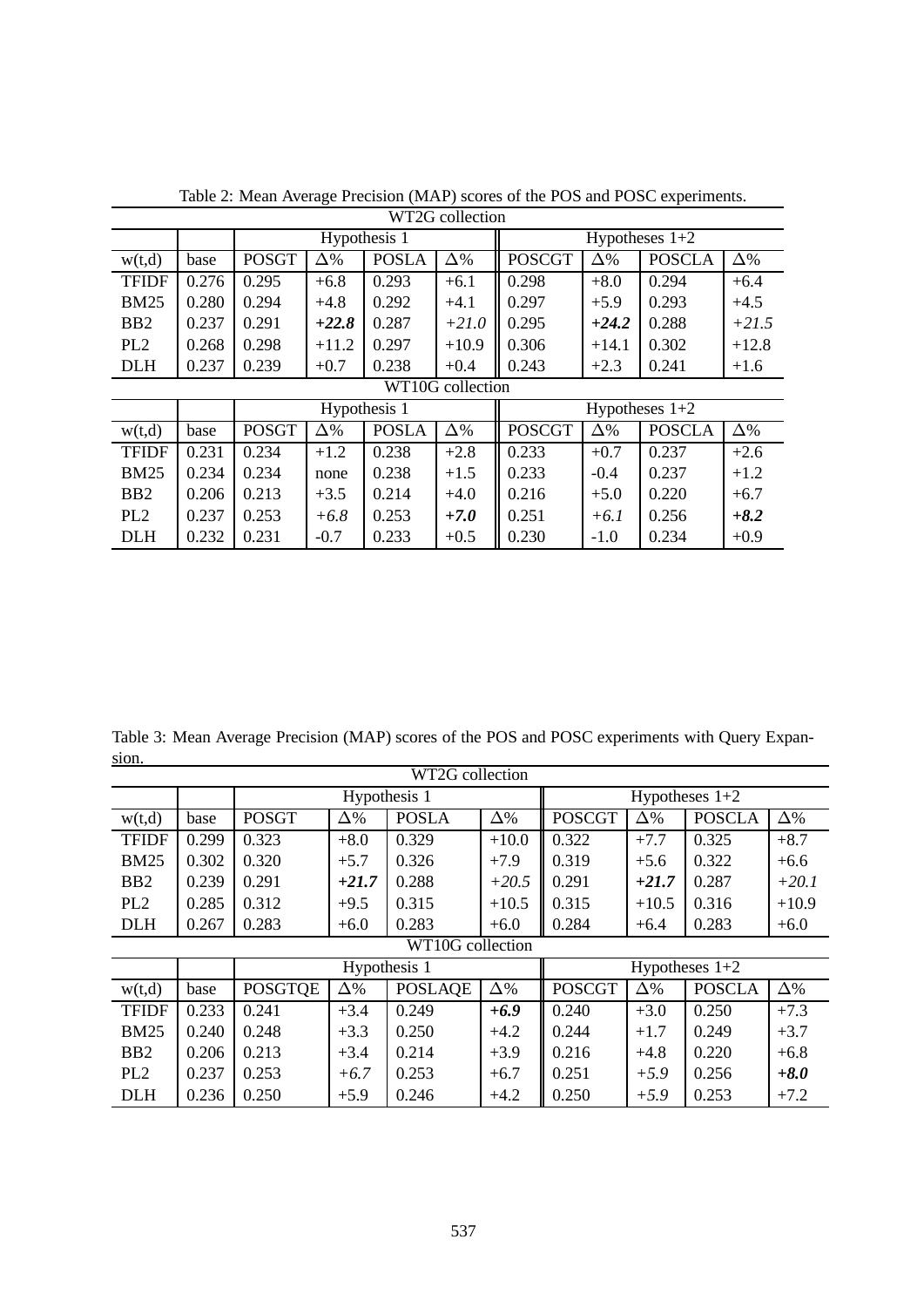| WT2G collection  |       |              |            |              |                  |                  |            |               |            |
|------------------|-------|--------------|------------|--------------|------------------|------------------|------------|---------------|------------|
|                  |       | Hypothesis 1 |            |              |                  | Hypotheses $1+2$ |            |               |            |
| w(t,d)           | base  | <b>POSGT</b> | $\Delta\%$ | <b>POSLA</b> | $\Delta\%$       | <b>POSCGT</b>    | $\Delta\%$ | <b>POSCLA</b> | $\Delta\%$ |
| <b>TFIDF</b>     | 0.276 | 0.295        | $+6.8$     | 0.293        | $+6.1$           | 0.298            | $+8.0$     | 0.294         | $+6.4$     |
| <b>BM25</b>      | 0.280 | 0.294        | $+4.8$     | 0.292        | $+4.1$           | 0.297            | $+5.9$     | 0.293         | $+4.5$     |
| B <sub>B2</sub>  | 0.237 | 0.291        | $+22.8$    | 0.287        | $+21.0$          | 0.295            | $+24.2$    | 0.288         | $+21.5$    |
| PL <sub>2</sub>  | 0.268 | 0.298        | $+11.2$    | 0.297        | $+10.9$          | 0.306            | $+14.1$    | 0.302         | $+12.8$    |
| <b>DLH</b>       | 0.237 | 0.239        | $+0.7$     | 0.238        | $+0.4$           | 0.243            | $+2.3$     | 0.241         | $+1.6$     |
| WT10G collection |       |              |            |              |                  |                  |            |               |            |
|                  |       | Hypothesis 1 |            |              | Hypotheses $1+2$ |                  |            |               |            |
|                  |       |              |            |              |                  |                  |            |               |            |
| w(t,d)           | base  | <b>POSGT</b> | $\Delta\%$ | <b>POSLA</b> | $\Delta\%$       | <b>POSCGT</b>    | $\Delta\%$ | <b>POSCLA</b> | $\Delta\%$ |
| <b>TFIDF</b>     | 0.231 | 0.234        | $+1.2$     | 0.238        | $+2.8$           | 0.233            | $+0.7$     | 0.237         | $+2.6$     |
| <b>BM25</b>      | 0.234 | 0.234        | none       | 0.238        | $+1.5$           | 0.233            | $-0.4$     | 0.237         | $+1.2$     |
| B <sub>B2</sub>  | 0.206 | 0.213        | $+3.5$     | 0.214        | $+4.0$           | 0.216            | $+5.0$     | 0.220         | $+6.7$     |
| PL <sub>2</sub>  | 0.237 | 0.253        | $+6.8$     | 0.253        | $+7.0$           | 0.251            | $+6.1$     | 0.256         | $+8.2$     |

Table 2: Mean Average Precision (MAP) scores of the POS and POSC experiments.

Table 3: Mean Average Precision (MAP) scores of the POS and POSC experiments with Query Expansion.

| WT2G collection  |       |                |            |                |            |                  |            |               |            |
|------------------|-------|----------------|------------|----------------|------------|------------------|------------|---------------|------------|
|                  |       | Hypothesis 1   |            |                |            | Hypotheses $1+2$ |            |               |            |
| w(t,d)           | base  | <b>POSGT</b>   | $\Delta\%$ | <b>POSLA</b>   | $\Delta\%$ | <b>POSCGT</b>    | $\Delta\%$ | <b>POSCLA</b> | $\Delta\%$ |
| <b>TFIDF</b>     | 0.299 | 0.323          | $+8.0$     | 0.329          | $+10.0$    | 0.322            | $+7.7$     | 0.325         | $+8.7$     |
| <b>BM25</b>      | 0.302 | 0.320          | $+5.7$     | 0.326          | $+7.9$     | 0.319            | $+5.6$     | 0.322         | $+6.6$     |
| B <sub>B2</sub>  | 0.239 | 0.291          | $+21.7$    | 0.288          | $+20.5$    | 0.291            | $+21.7$    | 0.287         | $+20.1$    |
| PL <sub>2</sub>  | 0.285 | 0.312          | $+9.5$     | 0.315          | $+10.5$    | 0.315            | $+10.5$    | 0.316         | $+10.9$    |
| <b>DLH</b>       | 0.267 | 0.283          | $+6.0$     | 0.283          | $+6.0$     | 0.284            | $+6.4$     | 0.283         | $+6.0$     |
| WT10G collection |       |                |            |                |            |                  |            |               |            |
|                  |       | Hypothesis 1   |            |                |            | Hypotheses $1+2$ |            |               |            |
| w(t,d)           | base  | <b>POSGTOE</b> | $\Delta\%$ | <b>POSLAQE</b> | $\Delta\%$ | <b>POSCGT</b>    | $\Delta\%$ | <b>POSCLA</b> | $\Delta\%$ |
| <b>TFIDF</b>     | 0.233 | 0.241          | $+3.4$     | 0.249          | $+6.9$     | 0.240            | $+3.0$     | 0.250         | $+7.3$     |
| <b>BM25</b>      | 0.240 | 0.248          | $+3.3$     | 0.250          | $+4.2$     | 0.244            | $+1.7$     | 0.249         | $+3.7$     |
| B <sub>B2</sub>  | 0.206 | 0.213          | $+3.4$     | 0.214          | $+3.9$     | 0.216            | $+4.8$     | 0.220         | $+6.8$     |
| PL <sub>2</sub>  | 0.237 | 0.253          | $+6.7$     | 0.253          | $+6.7$     | 0.251            | $+5.9$     | 0.256         | $+8.0$     |
| <b>DLH</b>       | 0.236 | 0.250          | $+5.9$     | 0.246          | $+4.2$     | 0.250            | $+5.9$     | 0.253         | $+7.2$     |